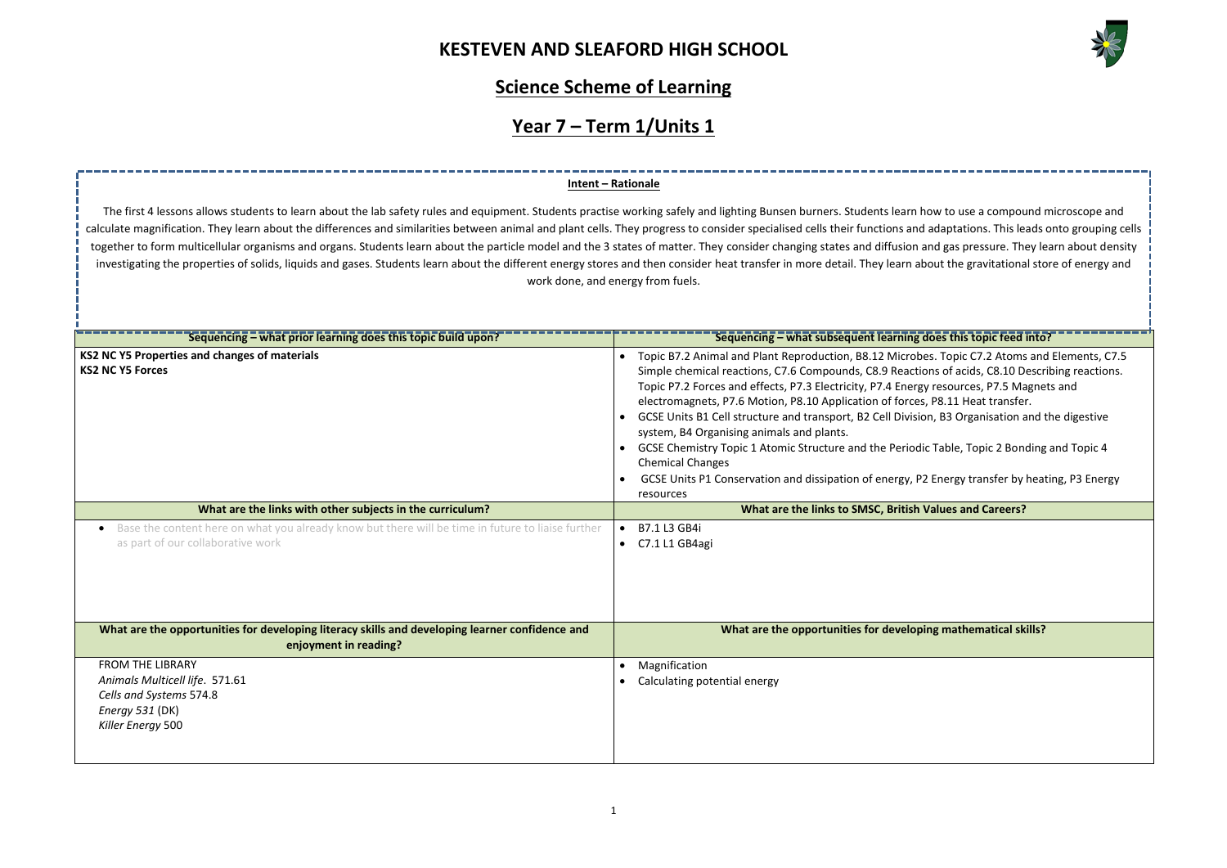

### $\overline{\text{Fose}}$  this topic feed into?

es. Topic C7.2 Atoms and Elements, C7.5 ons of acids, C8.10 Describing reactions. resources, P7.5 Magnets and P8.11 Heat transfer. <sub>1</sub> B3 Organisation and the digestive

- c Table, Topic 2 Bonding and Topic 4
- **Energy transfer by heating, P3 Energy**

**Matues and Careers?** 

**Mathematical skills?** 

### **Science Scheme of Learning**

## **Year 7 – Term 1/Units 1**

| Sequencing - what prior learning does this topic build upon?                                                                                        | Sequencing - what subsequent learning d                                                                                                                                                                                                                                                                                                                                                                                                                                                                                                                              |
|-----------------------------------------------------------------------------------------------------------------------------------------------------|----------------------------------------------------------------------------------------------------------------------------------------------------------------------------------------------------------------------------------------------------------------------------------------------------------------------------------------------------------------------------------------------------------------------------------------------------------------------------------------------------------------------------------------------------------------------|
| <b>KS2 NC Y5 Properties and changes of materials</b><br><b>KS2 NC Y5 Forces</b><br>What are the links with other subjects in the curriculum?        | Topic B7.2 Animal and Plant Reproduction, B8.12 Microbe<br>Simple chemical reactions, C7.6 Compounds, C8.9 Reactio<br>Topic P7.2 Forces and effects, P7.3 Electricity, P7.4 Energy<br>electromagnets, P7.6 Motion, P8.10 Application of forces,<br>GCSE Units B1 Cell structure and transport, B2 Cell Divisio<br>system, B4 Organising animals and plants.<br>GCSE Chemistry Topic 1 Atomic Structure and the Periodic<br><b>Chemical Changes</b><br>GCSE Units P1 Conservation and dissipation of energy, P2<br>resources<br>What are the links to SMSC, British V |
| Base the content here on what you already know but there will be time in future to liaise further<br>$\bullet$<br>as part of our collaborative work | <b>B7.1 L3 GB4i</b><br>$\bullet$<br>C7.1 L1 GB4agi                                                                                                                                                                                                                                                                                                                                                                                                                                                                                                                   |
| What are the opportunities for developing literacy skills and developing learner confidence and<br>enjoyment in reading?                            | What are the opportunities for developing                                                                                                                                                                                                                                                                                                                                                                                                                                                                                                                            |
| <b>FROM THE LIBRARY</b><br>Animals Multicell life. 571.61<br>Cells and Systems 574.8<br>Energy 531 (DK)<br>Killer Energy 500                        | Magnification<br>٠<br>Calculating potential energy                                                                                                                                                                                                                                                                                                                                                                                                                                                                                                                   |

The first 4 lessons allows students to learn about the lab safety rules and equipment. Students practise working safely and lighting Bunsen burners. Students learn how to use a compound microscope and calculate magnification. They learn about the differences and similarities between animal and plant cells. They progress to consider specialised cells their functions and adaptations. This leads onto grouping cells together to form multicellular organisms and organs. Students learn about the particle model and the 3 states of matter. They consider changing states and diffusion and gas pressure. They learn about density investigating the properties of solids, liquids and gases. Students learn about the different energy stores and then consider heat transfer in more detail. They learn about the gravitational store of energy and work done, and energy from fuels.

### **Intent – Rationale**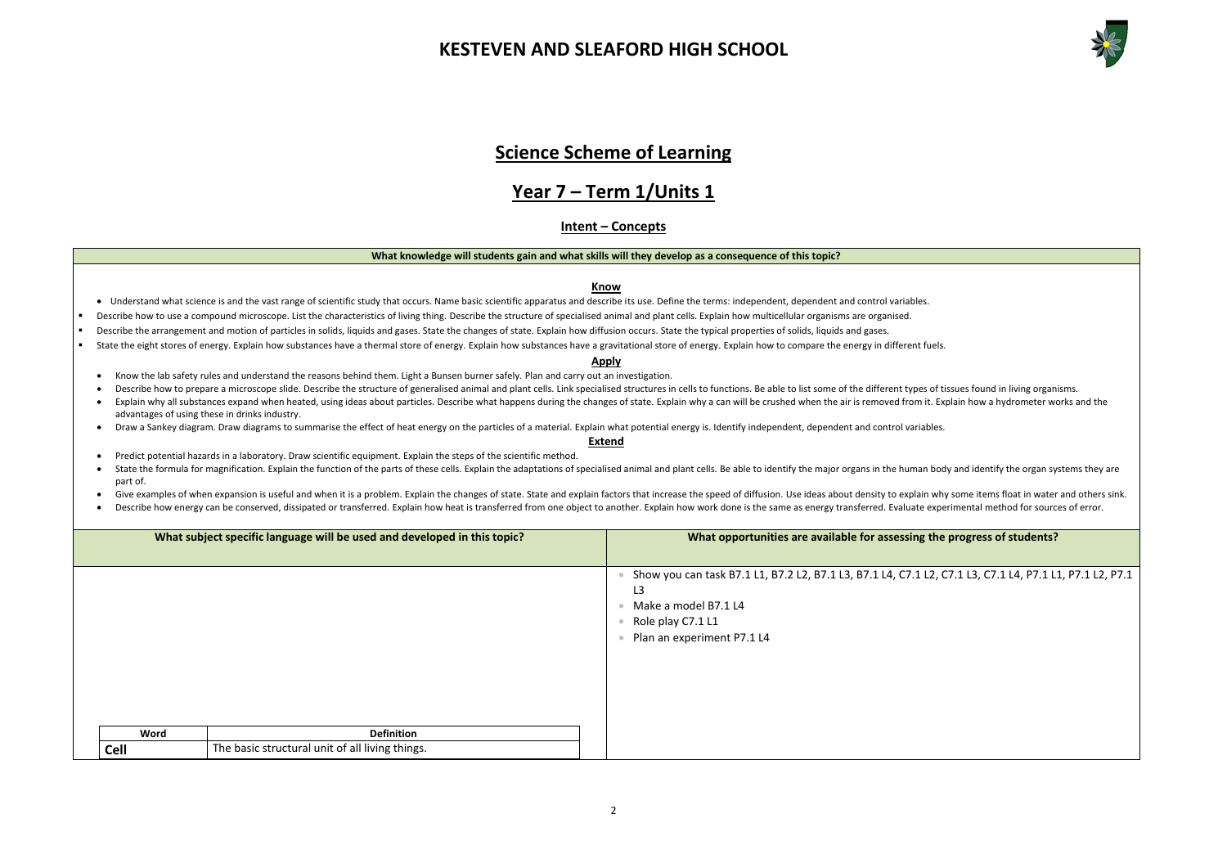

### **Science Scheme of Learning**

### **Year 7 – Term 1/Units 1**

#### **Intent – Concepts**

- Understand what science is and the vast range of scientific study that occurs. Name basic scientific apparatus and describe its use. Define the terms: independent, dependent and control variables.
- Describe how to use a compound microscope. List the characteristics of living thing. Describe the structure of specialised animal and plant cells. Explain how multicellular organisms are organised.
- Describe the arrangement and motion of particles in solids, liquids and gases. State the changes of state. Explain how diffusion occurs. State the typical properties of solids, liquids and gases.
- State the eight stores of energy. Explain how substances have a thermal store of energy. Explain how substances have a gravitational store of energy. Explain how to compare the energy in different fuels.

#### **What knowledge will students gain and what skills will they develop as a consequence of this topic?**

#### **Know**

- Predict potential hazards in a laboratory. Draw scientific equipment. Explain the steps of the scientific method.
- State the formula for magnification. Explain the function of the parts of these cells. Explain the adaptations of specialised animal and plant cells. Be able to identify the major organs in the human body and identify th part of.
- Give examples of when expansion is useful and when it is a problem. Explain the changes of state. State and explain factors that increase the speed of diffusion. Use ideas about density to explain why some items float in
- Describe how energy can be conserved, dissipated or transferred. Explain how heat is transferred from one object to another. Explain how work done is the same as energy transferred. Evaluate experimental method for sourc

#### **Apply**

|             | What subject specific language will be used and developed in this topic? | What opportunities are available for assessing                                                                                                            |
|-------------|--------------------------------------------------------------------------|-----------------------------------------------------------------------------------------------------------------------------------------------------------|
|             |                                                                          | Show you can task B7.1 L1, B7.2 L2, B7.1 L3, B7.1 L4, C7.1 L<br>L <sub>3</sub><br>Make a model B7.1 L4<br>Role play C7.1 L1<br>Plan an experiment P7.1 L4 |
| Word        | <b>Definition</b>                                                        |                                                                                                                                                           |
| <b>Cell</b> | The basic structural unit of all living things.                          |                                                                                                                                                           |

- Know the lab safety rules and understand the reasons behind them. Light a Bunsen burner safely. Plan and carry out an investigation. • Describe how to prepare a microscope slide. Describe the structure of generalised animal and plant cells. Link specialised structures in cells to functions. Be able to list some of the different types of tissues found in
- Explain why all substances expand when heated, using ideas about particles. Describe what happens during the changes of state. Explain why a can will be crushed when the air is removed from it. Explain how a hydrometer w advantages of using these in drinks industry.
- Draw a Sankey diagram. Draw diagrams to summarise the effect of heat energy on the particles of a material. Explain what potential energy is. Identify independent, dependent and control variables.

**the progress of students?** • Show you can task B7.1 L1, B7.2 L2, B7.1 L3, B7.1 L4, C7.1 L2, C7.1 L3, C7.1 L4, P7.1 L1, P7.1 L2, P7.1

#### **Extend**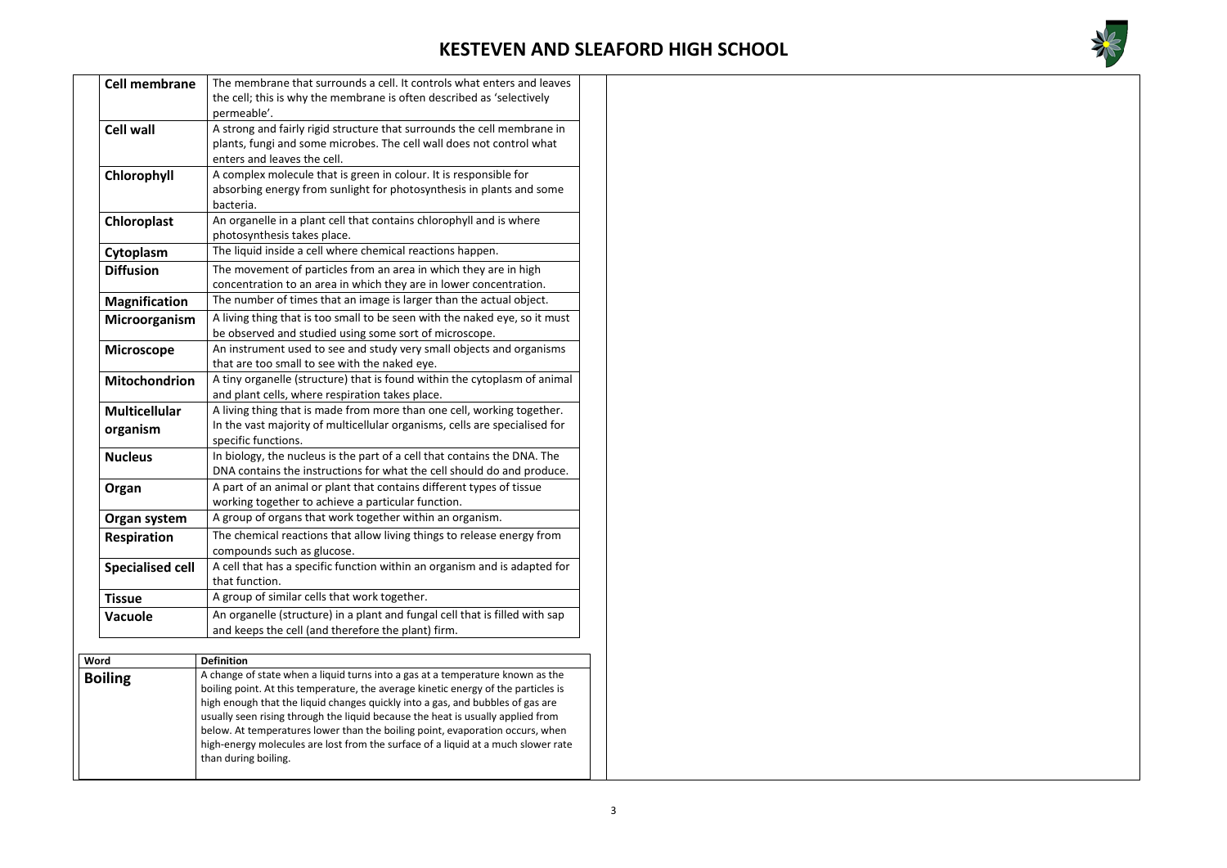

|                  | <b>Cell membrane</b>    | The membrane that surrounds a cell. It controls what enters and leaves                                                                                             |  |  |
|------------------|-------------------------|--------------------------------------------------------------------------------------------------------------------------------------------------------------------|--|--|
|                  |                         | the cell; this is why the membrane is often described as 'selectively                                                                                              |  |  |
|                  |                         | permeable'.                                                                                                                                                        |  |  |
| <b>Cell wall</b> |                         | A strong and fairly rigid structure that surrounds the cell membrane in                                                                                            |  |  |
|                  |                         | plants, fungi and some microbes. The cell wall does not control what                                                                                               |  |  |
|                  |                         | enters and leaves the cell.                                                                                                                                        |  |  |
|                  | Chlorophyll             | A complex molecule that is green in colour. It is responsible for                                                                                                  |  |  |
|                  |                         | absorbing energy from sunlight for photosynthesis in plants and some                                                                                               |  |  |
|                  |                         | bacteria.                                                                                                                                                          |  |  |
|                  | Chloroplast             | An organelle in a plant cell that contains chlorophyll and is where                                                                                                |  |  |
|                  |                         | photosynthesis takes place.<br>The liquid inside a cell where chemical reactions happen.                                                                           |  |  |
|                  | Cytoplasm               |                                                                                                                                                                    |  |  |
|                  | <b>Diffusion</b>        | The movement of particles from an area in which they are in high<br>concentration to an area in which they are in lower concentration.                             |  |  |
|                  |                         | The number of times that an image is larger than the actual object.                                                                                                |  |  |
|                  | <b>Magnification</b>    |                                                                                                                                                                    |  |  |
|                  | Microorganism           | A living thing that is too small to be seen with the naked eye, so it must                                                                                         |  |  |
|                  |                         | be observed and studied using some sort of microscope.<br>An instrument used to see and study very small objects and organisms                                     |  |  |
|                  | <b>Microscope</b>       | that are too small to see with the naked eye.                                                                                                                      |  |  |
|                  | <b>Mitochondrion</b>    | A tiny organelle (structure) that is found within the cytoplasm of animal                                                                                          |  |  |
|                  |                         | and plant cells, where respiration takes place.                                                                                                                    |  |  |
|                  | <b>Multicellular</b>    | A living thing that is made from more than one cell, working together.                                                                                             |  |  |
|                  | organism                | In the vast majority of multicellular organisms, cells are specialised for                                                                                         |  |  |
|                  |                         | specific functions.                                                                                                                                                |  |  |
|                  | <b>Nucleus</b>          | In biology, the nucleus is the part of a cell that contains the DNA. The                                                                                           |  |  |
|                  |                         | DNA contains the instructions for what the cell should do and produce.                                                                                             |  |  |
|                  | Organ                   | A part of an animal or plant that contains different types of tissue                                                                                               |  |  |
|                  |                         | working together to achieve a particular function.                                                                                                                 |  |  |
|                  | Organ system            | A group of organs that work together within an organism.                                                                                                           |  |  |
|                  | <b>Respiration</b>      | The chemical reactions that allow living things to release energy from                                                                                             |  |  |
|                  |                         | compounds such as glucose.                                                                                                                                         |  |  |
|                  | <b>Specialised cell</b> | A cell that has a specific function within an organism and is adapted for<br>that function.                                                                        |  |  |
|                  | <b>Tissue</b>           | A group of similar cells that work together.                                                                                                                       |  |  |
|                  |                         | An organelle (structure) in a plant and fungal cell that is filled with sap                                                                                        |  |  |
|                  | <b>Vacuole</b>          | and keeps the cell (and therefore the plant) firm.                                                                                                                 |  |  |
|                  |                         |                                                                                                                                                                    |  |  |
| Word             |                         | <b>Definition</b>                                                                                                                                                  |  |  |
|                  | <b>Boiling</b>          | A change of state when a liquid turns into a gas at a temperature known as the                                                                                     |  |  |
|                  |                         | boiling point. At this temperature, the average kinetic energy of the particles is                                                                                 |  |  |
|                  |                         | high enough that the liquid changes quickly into a gas, and bubbles of gas are                                                                                     |  |  |
|                  |                         | usually seen rising through the liquid because the heat is usually applied from                                                                                    |  |  |
|                  |                         | below. At temperatures lower than the boiling point, evaporation occurs, when<br>high-energy molecules are lost from the surface of a liquid at a much slower rate |  |  |
|                  |                         | than during boiling.                                                                                                                                               |  |  |
|                  |                         |                                                                                                                                                                    |  |  |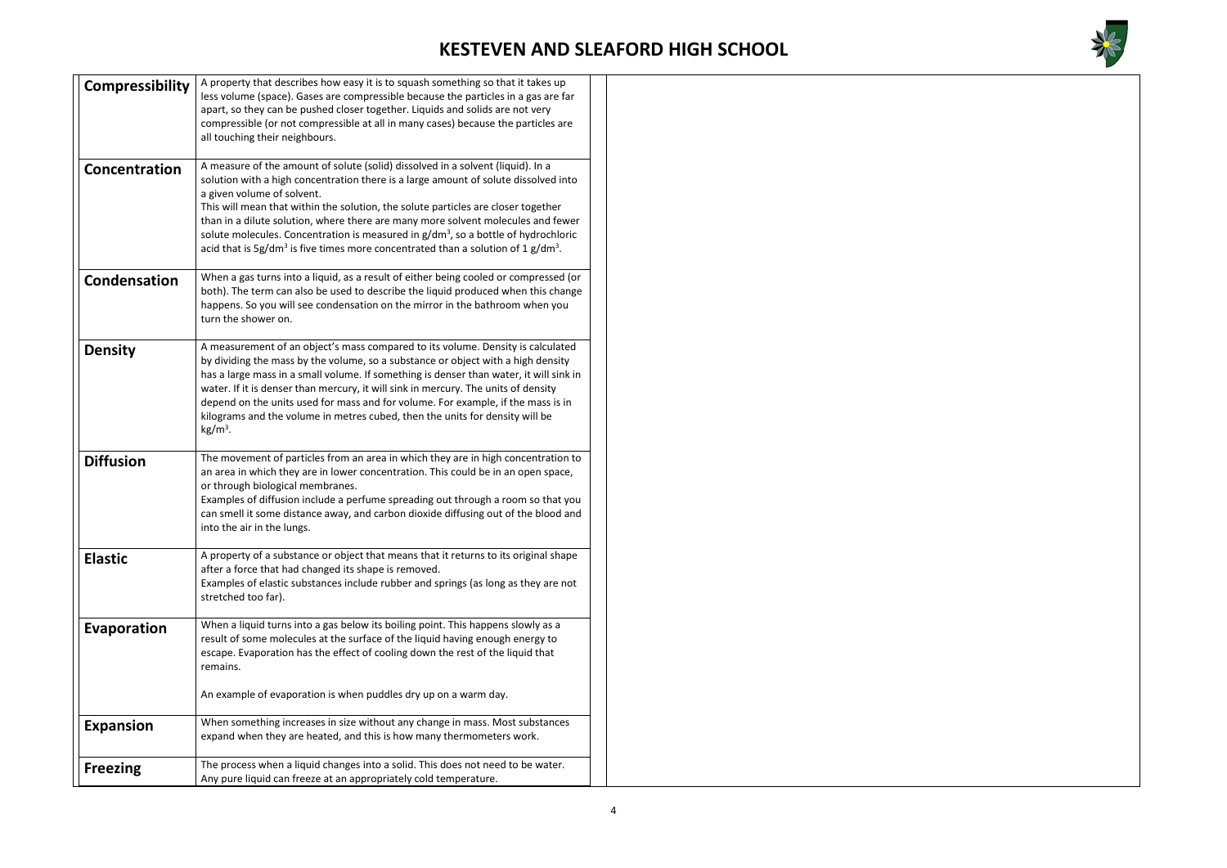

| <b>Compressibility</b> | A property that describes how easy it is to squash something so that it takes up<br>less volume (space). Gases are compressible because the particles in a gas are far<br>apart, so they can be pushed closer together. Liquids and solids are not very<br>compressible (or not compressible at all in many cases) because the particles are<br>all touching their neighbours.                                                                                                                                                                                                    |
|------------------------|-----------------------------------------------------------------------------------------------------------------------------------------------------------------------------------------------------------------------------------------------------------------------------------------------------------------------------------------------------------------------------------------------------------------------------------------------------------------------------------------------------------------------------------------------------------------------------------|
| Concentration          | A measure of the amount of solute (solid) dissolved in a solvent (liquid). In a<br>solution with a high concentration there is a large amount of solute dissolved into<br>a given volume of solvent.<br>This will mean that within the solution, the solute particles are closer together<br>than in a dilute solution, where there are many more solvent molecules and fewer<br>solute molecules. Concentration is measured in $g/dm3$ , so a bottle of hydrochloric<br>acid that is 5g/dm <sup>3</sup> is five times more concentrated than a solution of 1 g/dm <sup>3</sup> . |
| <b>Condensation</b>    | When a gas turns into a liquid, as a result of either being cooled or compressed (or<br>both). The term can also be used to describe the liquid produced when this change<br>happens. So you will see condensation on the mirror in the bathroom when you<br>turn the shower on.                                                                                                                                                                                                                                                                                                  |
| <b>Density</b>         | A measurement of an object's mass compared to its volume. Density is calculated<br>by dividing the mass by the volume, so a substance or object with a high density<br>has a large mass in a small volume. If something is denser than water, it will sink in<br>water. If it is denser than mercury, it will sink in mercury. The units of density<br>depend on the units used for mass and for volume. For example, if the mass is in<br>kilograms and the volume in metres cubed, then the units for density will be<br>$kg/m3$ .                                              |
| <b>Diffusion</b>       | The movement of particles from an area in which they are in high concentration to<br>an area in which they are in lower concentration. This could be in an open space,<br>or through biological membranes.<br>Examples of diffusion include a perfume spreading out through a room so that you<br>can smell it some distance away, and carbon dioxide diffusing out of the blood and<br>into the air in the lungs.                                                                                                                                                                |
| <b>Elastic</b>         | A property of a substance or object that means that it returns to its original shape<br>after a force that had changed its shape is removed.<br>Examples of elastic substances include rubber and springs (as long as they are not<br>stretched too far).                                                                                                                                                                                                                                                                                                                         |
| Evaporation            | When a liquid turns into a gas below its boiling point. This happens slowly as a<br>result of some molecules at the surface of the liquid having enough energy to<br>escape. Evaporation has the effect of cooling down the rest of the liquid that<br>remains.<br>An example of evaporation is when puddles dry up on a warm day.                                                                                                                                                                                                                                                |
| <b>Expansion</b>       | When something increases in size without any change in mass. Most substances<br>expand when they are heated, and this is how many thermometers work.                                                                                                                                                                                                                                                                                                                                                                                                                              |
| <b>Freezing</b>        | The process when a liquid changes into a solid. This does not need to be water.<br>Any pure liquid can freeze at an appropriately cold temperature.                                                                                                                                                                                                                                                                                                                                                                                                                               |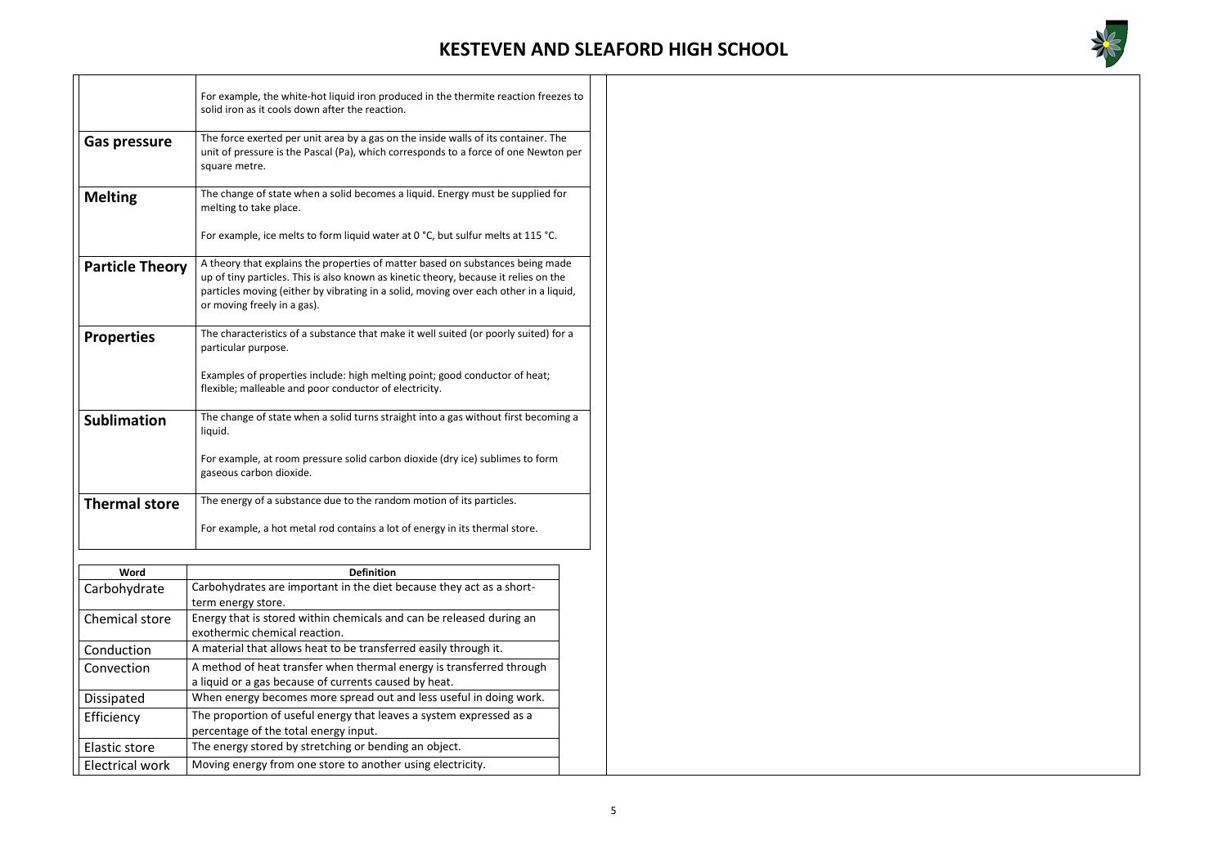

|                                                                                                                 | For example, the white-hot liquid iron produced in the thermite reaction freezes to<br>solid iron as it cools down after the reaction.                                                                                                                                                         |  |  |  |
|-----------------------------------------------------------------------------------------------------------------|------------------------------------------------------------------------------------------------------------------------------------------------------------------------------------------------------------------------------------------------------------------------------------------------|--|--|--|
| <b>Gas pressure</b>                                                                                             | The force exerted per unit area by a gas on the inside walls of its container. The<br>unit of pressure is the Pascal (Pa), which corresponds to a force of one Newton per<br>square metre.                                                                                                     |  |  |  |
| <b>Melting</b>                                                                                                  | The change of state when a solid becomes a liquid. Energy must be supplied for<br>melting to take place.<br>For example, ice melts to form liquid water at 0 °C, but sulfur melts at 115 °C.                                                                                                   |  |  |  |
| <b>Particle Theory</b>                                                                                          | A theory that explains the properties of matter based on substances being made<br>up of tiny particles. This is also known as kinetic theory, because it relies on the<br>particles moving (either by vibrating in a solid, moving over each other in a liquid,<br>or moving freely in a gas). |  |  |  |
| <b>Properties</b>                                                                                               | The characteristics of a substance that make it well suited (or poorly suited) for a<br>particular purpose.                                                                                                                                                                                    |  |  |  |
|                                                                                                                 | Examples of properties include: high melting point; good conductor of heat;<br>flexible; malleable and poor conductor of electricity.                                                                                                                                                          |  |  |  |
| <b>Sublimation</b>                                                                                              | The change of state when a solid turns straight into a gas without first becoming a<br>liquid.                                                                                                                                                                                                 |  |  |  |
|                                                                                                                 | For example, at room pressure solid carbon dioxide (dry ice) sublimes to form<br>gaseous carbon dioxide.                                                                                                                                                                                       |  |  |  |
| <b>Thermal store</b>                                                                                            | The energy of a substance due to the random motion of its particles.                                                                                                                                                                                                                           |  |  |  |
|                                                                                                                 | For example, a hot metal rod contains a lot of energy in its thermal store.                                                                                                                                                                                                                    |  |  |  |
|                                                                                                                 |                                                                                                                                                                                                                                                                                                |  |  |  |
| Word                                                                                                            | <b>Definition</b>                                                                                                                                                                                                                                                                              |  |  |  |
| Carbohydrate                                                                                                    | Carbohydrates are important in the diet because they act as a short-<br>term energy store.                                                                                                                                                                                                     |  |  |  |
| <b>Chemical store</b>                                                                                           | Energy that is stored within chemicals and can be released during an<br>exothermic chemical reaction.                                                                                                                                                                                          |  |  |  |
| Conduction                                                                                                      | A material that allows heat to be transferred easily through it.                                                                                                                                                                                                                               |  |  |  |
| Convection                                                                                                      | A method of heat transfer when thermal energy is transferred through<br>a liquid or a gas because of currents caused by heat.                                                                                                                                                                  |  |  |  |
| <b>Dissipated</b>                                                                                               | When energy becomes more spread out and less useful in doing work.                                                                                                                                                                                                                             |  |  |  |
| Efficiency                                                                                                      | The proportion of useful energy that leaves a system expressed as a                                                                                                                                                                                                                            |  |  |  |
| percentage of the total energy input.<br>The energy stored by stretching or bending an object.<br>Elastic store |                                                                                                                                                                                                                                                                                                |  |  |  |
|                                                                                                                 |                                                                                                                                                                                                                                                                                                |  |  |  |
| <b>Electrical work</b>                                                                                          | Moving energy from one store to another using electricity.                                                                                                                                                                                                                                     |  |  |  |

 $\Gamma$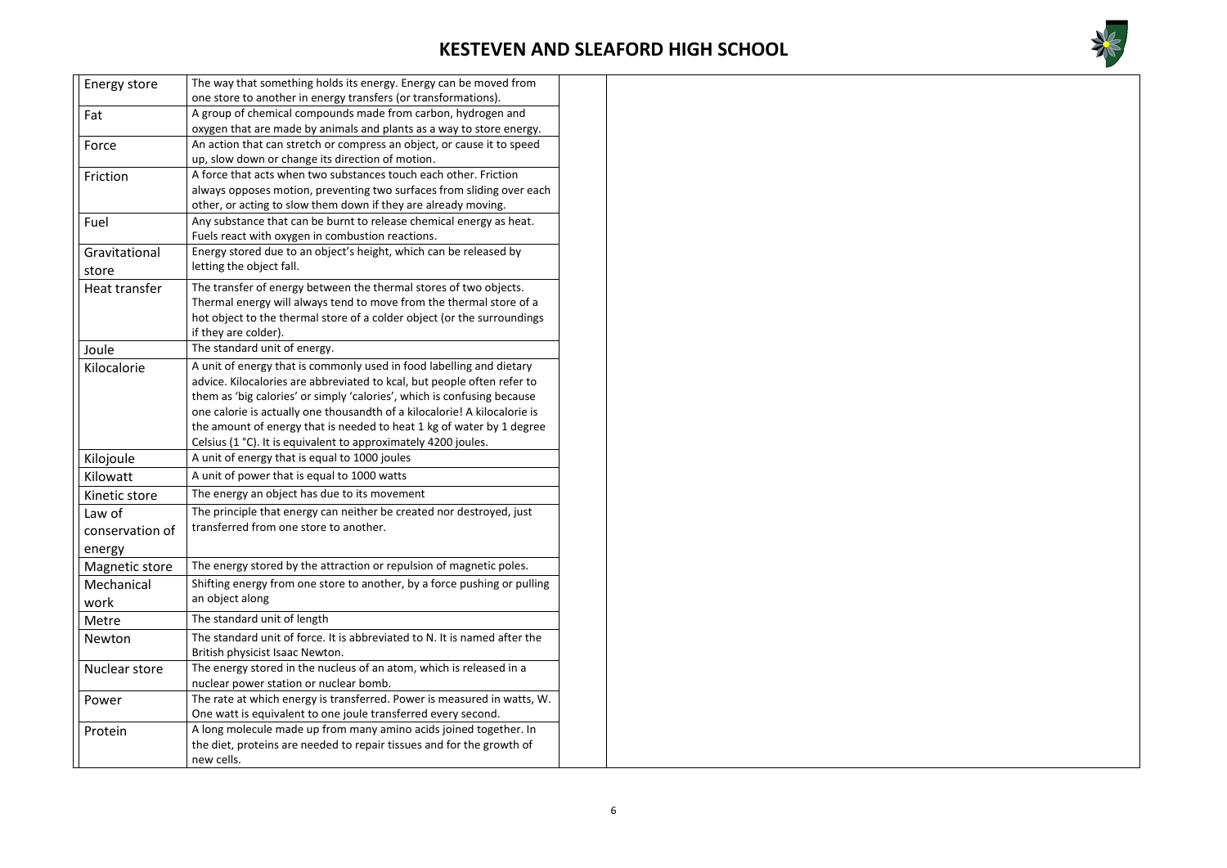

| <b>Energy store</b>  | The way that something holds its energy. Energy can be moved from         |
|----------------------|---------------------------------------------------------------------------|
|                      | one store to another in energy transfers (or transformations).            |
| Fat                  | A group of chemical compounds made from carbon, hydrogen and              |
|                      | oxygen that are made by animals and plants as a way to store energy.      |
| Force                | An action that can stretch or compress an object, or cause it to speed    |
|                      | up, slow down or change its direction of motion.                          |
| Friction             | A force that acts when two substances touch each other. Friction          |
|                      | always opposes motion, preventing two surfaces from sliding over each     |
|                      | other, or acting to slow them down if they are already moving.            |
| Fuel                 | Any substance that can be burnt to release chemical energy as heat.       |
|                      | Fuels react with oxygen in combustion reactions.                          |
| Gravitational        | Energy stored due to an object's height, which can be released by         |
| store                | letting the object fall.                                                  |
| Heat transfer        | The transfer of energy between the thermal stores of two objects.         |
|                      | Thermal energy will always tend to move from the thermal store of a       |
|                      | hot object to the thermal store of a colder object (or the surroundings   |
|                      | if they are colder).                                                      |
| Joule                | The standard unit of energy.                                              |
| Kilocalorie          | A unit of energy that is commonly used in food labelling and dietary      |
|                      | advice. Kilocalories are abbreviated to kcal, but people often refer to   |
|                      | them as 'big calories' or simply 'calories', which is confusing because   |
|                      | one calorie is actually one thousandth of a kilocalorie! A kilocalorie is |
|                      | the amount of energy that is needed to heat 1 kg of water by 1 degree     |
|                      | Celsius (1 °C). It is equivalent to approximately 4200 joules.            |
| Kilojoule            | A unit of energy that is equal to 1000 joules                             |
| Kilowatt             | A unit of power that is equal to 1000 watts                               |
| Kinetic store        | The energy an object has due to its movement                              |
| Law of               | The principle that energy can neither be created nor destroyed, just      |
| conservation of      | transferred from one store to another.                                    |
| energy               |                                                                           |
| Magnetic store       | The energy stored by the attraction or repulsion of magnetic poles.       |
| Mechanical           | Shifting energy from one store to another, by a force pushing or pulling  |
|                      | an object along                                                           |
| work                 |                                                                           |
| Metre                | The standard unit of length                                               |
| <b>Newton</b>        | The standard unit of force. It is abbreviated to N. It is named after the |
|                      | British physicist Isaac Newton.                                           |
| <b>Nuclear store</b> | The energy stored in the nucleus of an atom, which is released in a       |
|                      | nuclear power station or nuclear bomb.                                    |
| Power                | The rate at which energy is transferred. Power is measured in watts, W.   |
|                      | One watt is equivalent to one joule transferred every second.             |
| Protein              | A long molecule made up from many amino acids joined together. In         |
|                      | the diet, proteins are needed to repair tissues and for the growth of     |
|                      | new cells.                                                                |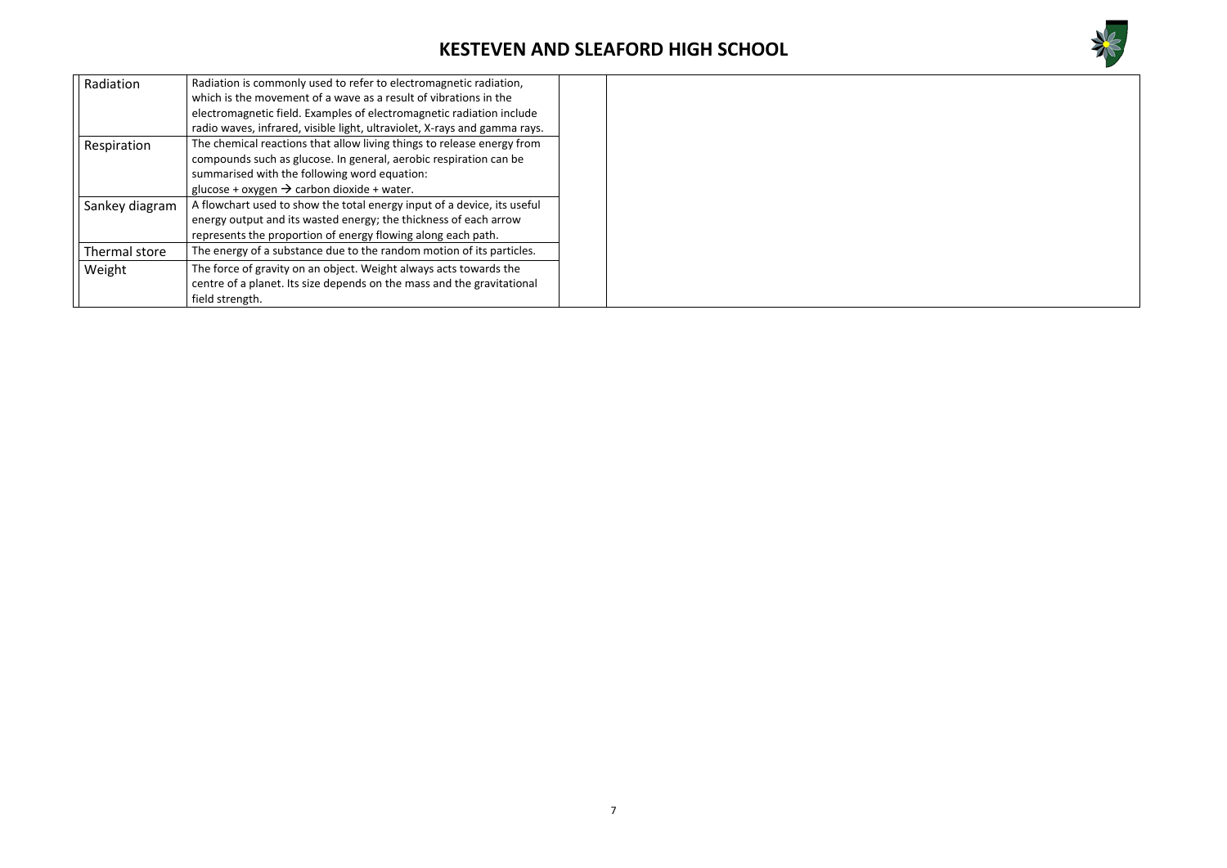

| Radiation      | Radiation is commonly used to refer to electromagnetic radiation,         |  |
|----------------|---------------------------------------------------------------------------|--|
|                | which is the movement of a wave as a result of vibrations in the          |  |
|                | electromagnetic field. Examples of electromagnetic radiation include      |  |
|                | radio waves, infrared, visible light, ultraviolet, X-rays and gamma rays. |  |
| Respiration    | The chemical reactions that allow living things to release energy from    |  |
|                | compounds such as glucose. In general, aerobic respiration can be         |  |
|                | summarised with the following word equation:                              |  |
|                | glucose + oxygen $\rightarrow$ carbon dioxide + water.                    |  |
| Sankey diagram | A flowchart used to show the total energy input of a device, its useful   |  |
|                | energy output and its wasted energy; the thickness of each arrow          |  |
|                | represents the proportion of energy flowing along each path.              |  |
| Thermal store  | The energy of a substance due to the random motion of its particles.      |  |
| Weight         | The force of gravity on an object. Weight always acts towards the         |  |
|                | centre of a planet. Its size depends on the mass and the gravitational    |  |
|                | field strength.                                                           |  |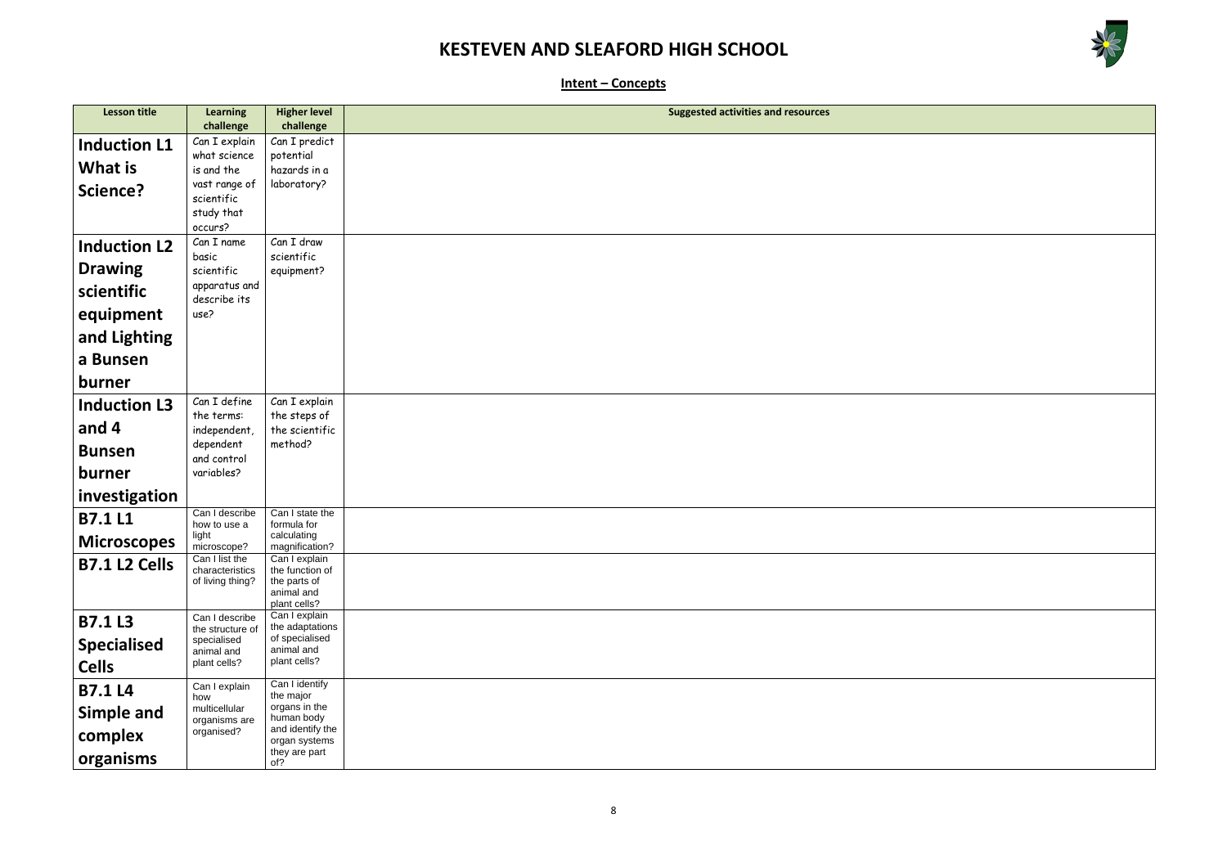

**Intent – Concepts**

| <b>Lesson title</b>  |                                    |                                  |                                           |
|----------------------|------------------------------------|----------------------------------|-------------------------------------------|
|                      | <b>Learning</b><br>challenge       | <b>Higher level</b><br>challenge | <b>Suggested activities and resources</b> |
|                      | Can I explain                      | Can I predict                    |                                           |
| <b>Induction L1</b>  | what science                       | potential                        |                                           |
| What is              | is and the                         | hazards in a                     |                                           |
| Science?             | vast range of                      | laboratory?                      |                                           |
|                      | scientific                         |                                  |                                           |
|                      | study that                         |                                  |                                           |
|                      | occurs?<br>Can I name              | Can I draw                       |                                           |
| <b>Induction L2</b>  | basic                              | scientific                       |                                           |
| <b>Drawing</b>       | scientific                         | equipment?                       |                                           |
|                      | apparatus and                      |                                  |                                           |
| scientific           | describe its                       |                                  |                                           |
| equipment            | use?                               |                                  |                                           |
| and Lighting         |                                    |                                  |                                           |
| a Bunsen             |                                    |                                  |                                           |
| burner               |                                    |                                  |                                           |
| <b>Induction L3</b>  | Can I define                       | Can I explain                    |                                           |
|                      | the terms:                         | the steps of                     |                                           |
| and 4                | independent,                       | the scientific                   |                                           |
| <b>Bunsen</b>        | dependent                          | method?                          |                                           |
|                      | and control<br>variables?          |                                  |                                           |
| burner               |                                    |                                  |                                           |
| investigation        |                                    |                                  |                                           |
| <b>B7.1 L1</b>       | Can I describe<br>how to use a     | Can I state the<br>formula for   |                                           |
| <b>Microscopes</b>   | light                              | calculating                      |                                           |
|                      | microscope?<br>Can I list the      | magnification?<br>Can I explain  |                                           |
| <b>B7.1 L2 Cells</b> | characteristics                    | the function of                  |                                           |
|                      | of living thing?                   | the parts of<br>animal and       |                                           |
|                      |                                    | plant cells?                     |                                           |
| <b>B7.1 L3</b>       | Can I describe<br>the structure of | Can I explain<br>the adaptations |                                           |
| <b>Specialised</b>   | specialised                        | of specialised                   |                                           |
|                      | animal and<br>plant cells?         | animal and<br>plant cells?       |                                           |
| <b>Cells</b>         |                                    |                                  |                                           |
| <b>B7.1 L4</b>       | Can I explain<br>how               | Can I identify<br>the major      |                                           |
| Simple and           | multicellular                      | organs in the                    |                                           |
|                      | organisms are<br>organised?        | human body<br>and identify the   |                                           |
| complex              |                                    | organ systems                    |                                           |
| organisms            |                                    | they are part<br>of?             |                                           |